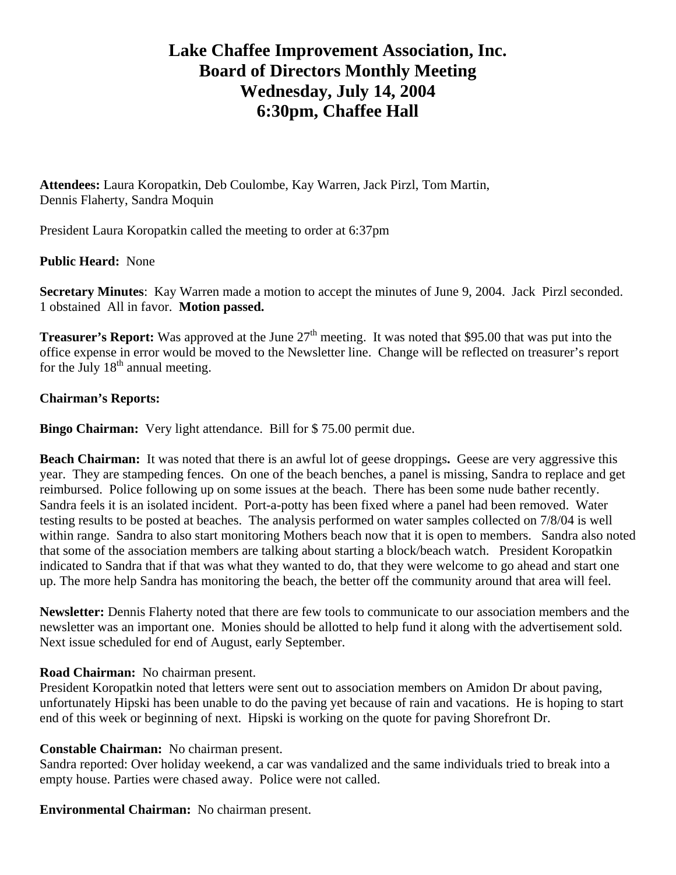# **Lake Chaffee Improvement Association, Inc. Board of Directors Monthly Meeting Wednesday, July 14, 2004 6:30pm, Chaffee Hall**

**Attendees:** Laura Koropatkin, Deb Coulombe, Kay Warren, Jack Pirzl, Tom Martin, Dennis Flaherty, Sandra Moquin

President Laura Koropatkin called the meeting to order at 6:37pm

# **Public Heard:** None

**Secretary Minutes**: Kay Warren made a motion to accept the minutes of June 9, 2004. Jack Pirzl seconded. 1 obstained All in favor. **Motion passed.** 

**Treasurer's Report:** Was approved at the June 27<sup>th</sup> meeting. It was noted that \$95.00 that was put into the office expense in error would be moved to the Newsletter line. Change will be reflected on treasurer's report for the July  $18<sup>th</sup>$  annual meeting.

# **Chairman's Reports:**

**Bingo Chairman:** Very light attendance. Bill for \$75.00 permit due.

**Beach Chairman:** It was noted that there is an awful lot of geese droppings. Geese are very aggressive this year. They are stampeding fences. On one of the beach benches, a panel is missing, Sandra to replace and get reimbursed. Police following up on some issues at the beach. There has been some nude bather recently. Sandra feels it is an isolated incident. Port-a-potty has been fixed where a panel had been removed. Water testing results to be posted at beaches. The analysis performed on water samples collected on 7/8/04 is well within range. Sandra to also start monitoring Mothers beach now that it is open to members. Sandra also noted that some of the association members are talking about starting a block/beach watch. President Koropatkin indicated to Sandra that if that was what they wanted to do, that they were welcome to go ahead and start one up. The more help Sandra has monitoring the beach, the better off the community around that area will feel.

**Newsletter:** Dennis Flaherty noted that there are few tools to communicate to our association members and the newsletter was an important one. Monies should be allotted to help fund it along with the advertisement sold. Next issue scheduled for end of August, early September.

### **Road Chairman:** No chairman present.

President Koropatkin noted that letters were sent out to association members on Amidon Dr about paving, unfortunately Hipski has been unable to do the paving yet because of rain and vacations. He is hoping to start end of this week or beginning of next. Hipski is working on the quote for paving Shorefront Dr.

### **Constable Chairman:** No chairman present.

Sandra reported: Over holiday weekend, a car was vandalized and the same individuals tried to break into a empty house. Parties were chased away. Police were not called.

### **Environmental Chairman:** No chairman present.